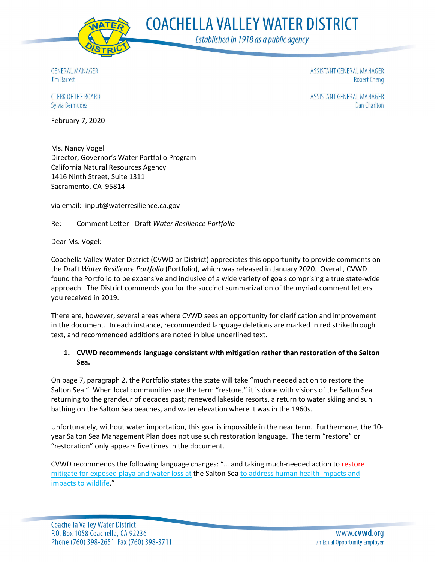

**COACHELLA VALLEY WATER DISTRICT** 

Established in 1918 as a public agency

**GENERAL MANAGER** Jim Barrett

ASSISTANT GENERAL MANAGER **Robert Cheng** 

ASSISTANT GENERAL MANAGER **Dan Charlton** 

CLERK OF THE BOARD Sylvia Bermudez

February 7, 2020

Ms. Nancy Vogel Director, Governor's Water Portfolio Program California Natural Resources Agency 1416 Ninth Street, Suite 1311 Sacramento, CA 95814

via email: input@waterresilience.ca.gov

Re: Comment Letter - Draft *Water Resilience Portfolio*

Dear Ms. Vogel:

Coachella Valley Water District (CVWD or District) appreciates this opportunity to provide comments on the Draft *Water Resilience Portfolio* (Portfolio), which was released in January 2020. Overall, CVWD found the Portfolio to be expansive and inclusive of a wide variety of goals comprising a true state-wide approach. The District commends you for the succinct summarization of the myriad comment letters you received in 2019.

There are, however, several areas where CVWD sees an opportunity for clarification and improvement in the document. In each instance, recommended language deletions are marked in red strikethrough text, and recommended additions are noted in blue underlined text.

# **1. CVWD recommends language consistent with mitigation rather than restoration of the Salton Sea.**

On page 7, paragraph 2, the Portfolio states the state will take "much needed action to restore the Salton Sea." When local communities use the term "restore," it is done with visions of the Salton Sea returning to the grandeur of decades past; renewed lakeside resorts, a return to water skiing and sun bathing on the Salton Sea beaches, and water elevation where it was in the 1960s.

Unfortunately, without water importation, this goal is impossible in the near term. Furthermore, the 10 year Salton Sea Management Plan does not use such restoration language. The term "restore" or "restoration" only appears five times in the document.

CVWD recommends the following language changes: "... and taking much-needed action to restore mitigate for exposed playa and water loss at the Salton Sea to address human health impacts and impacts to wildlife."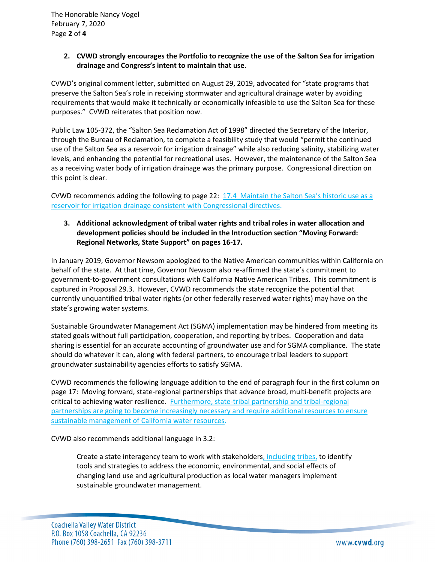# **2. CVWD strongly encourages the Portfolio to recognize the use of the Salton Sea for irrigation drainage and Congress's intent to maintain that use.**

CVWD's original comment letter, submitted on August 29, 2019, advocated for "state programs that preserve the Salton Sea's role in receiving stormwater and agricultural drainage water by avoiding requirements that would make it technically or economically infeasible to use the Salton Sea for these purposes." CVWD reiterates that position now.

Public Law 105-372, the "Salton Sea Reclamation Act of 1998" directed the Secretary of the Interior, through the Bureau of Reclamation, to complete a feasibility study that would "permit the continued use of the Salton Sea as a reservoir for irrigation drainage" while also reducing salinity, stabilizing water levels, and enhancing the potential for recreational uses. However, the maintenance of the Salton Sea as a receiving water body of irrigation drainage was the primary purpose. Congressional direction on this point is clear.

CVWD recommends adding the following to page 22: 17.4 Maintain the Salton Sea's historic use as a reservoir for irrigation drainage consistent with Congressional directives.

# **3. Additional acknowledgment of tribal water rights and tribal roles in water allocation and development policies should be included in the Introduction section "Moving Forward: Regional Networks, State Support" on pages 16-17.**

In January 2019, Governor Newsom apologized to the Native American communities within California on behalf of the state. At that time, Governor Newsom also re-affirmed the state's commitment to government-to-government consultations with California Native American Tribes. This commitment is captured in Proposal 29.3. However, CVWD recommends the state recognize the potential that currently unquantified tribal water rights (or other federally reserved water rights) may have on the state's growing water systems.

Sustainable Groundwater Management Act (SGMA) implementation may be hindered from meeting its stated goals without full participation, cooperation, and reporting by tribes. Cooperation and data sharing is essential for an accurate accounting of groundwater use and for SGMA compliance. The state should do whatever it can, along with federal partners, to encourage tribal leaders to support groundwater sustainability agencies efforts to satisfy SGMA.

CVWD recommends the following language addition to the end of paragraph four in the first column on page 17: Moving forward, state-regional partnerships that advance broad, multi-benefit projects are critical to achieving water resilience. Furthermore, state-tribal partnership and tribal-regional partnerships are going to become increasingly necessary and require additional resources to ensure sustainable management of California water resources.

CVWD also recommends additional language in 3.2:

Create a state interagency team to work with stakeholders, including tribes, to identify tools and strategies to address the economic, environmental, and social effects of changing land use and agricultural production as local water managers implement sustainable groundwater management.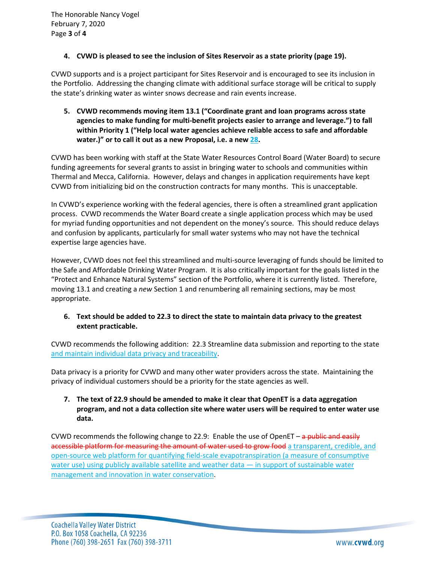### **4. CVWD is pleased to see the inclusion of Sites Reservoir as a state priority (page 19).**

CVWD supports and is a project participant for Sites Reservoir and is encouraged to see its inclusion in the Portfolio. Addressing the changing climate with additional surface storage will be critical to supply the state's drinking water as winter snows decrease and rain events increase.

**5. CVWD recommends moving item 13.1 ("Coordinate grant and loan programs across state agencies to make funding for multi-benefit projects easier to arrange and leverage.") to fall within Priority 1 ("Help local water agencies achieve reliable access to safe and affordable water.)" or to call it out as a new Proposal, i.e. a new 28.** 

CVWD has been working with staff at the State Water Resources Control Board (Water Board) to secure funding agreements for several grants to assist in bringing water to schools and communities within Thermal and Mecca, California. However, delays and changes in application requirements have kept CVWD from initializing bid on the construction contracts for many months. This is unacceptable.

In CVWD's experience working with the federal agencies, there is often a streamlined grant application process. CVWD recommends the Water Board create a single application process which may be used for myriad funding opportunities and not dependent on the money's source. This should reduce delays and confusion by applicants, particularly for small water systems who may not have the technical expertise large agencies have.

However, CVWD does not feel this streamlined and multi-source leveraging of funds should be limited to the Safe and Affordable Drinking Water Program. It is also critically important for the goals listed in the "Protect and Enhance Natural Systems" section of the Portfolio, where it is currently listed. Therefore, moving 13.1 and creating a *new* Section 1 and renumbering all remaining sections, may be most appropriate.

# **6. Text should be added to 22.3 to direct the state to maintain data privacy to the greatest extent practicable.**

CVWD recommends the following addition: 22.3 Streamline data submission and reporting to the state and maintain individual data privacy and traceability.

Data privacy is a priority for CVWD and many other water providers across the state. Maintaining the privacy of individual customers should be a priority for the state agencies as well.

# **7. The text of 22.9 should be amended to make it clear that OpenET is a data aggregation program, and not a data collection site where water users will be required to enter water use data.**

CVWD recommends the following change to 22.9: Enable the use of OpenET – a public and easily accessible platform for measuring the amount of water used to grow food a transparent, credible, and open-source web platform for quantifying field-scale evapotranspiration (a measure of consumptive water use) using publicly available satellite and weather data — in support of sustainable water management and innovation in water conservation.